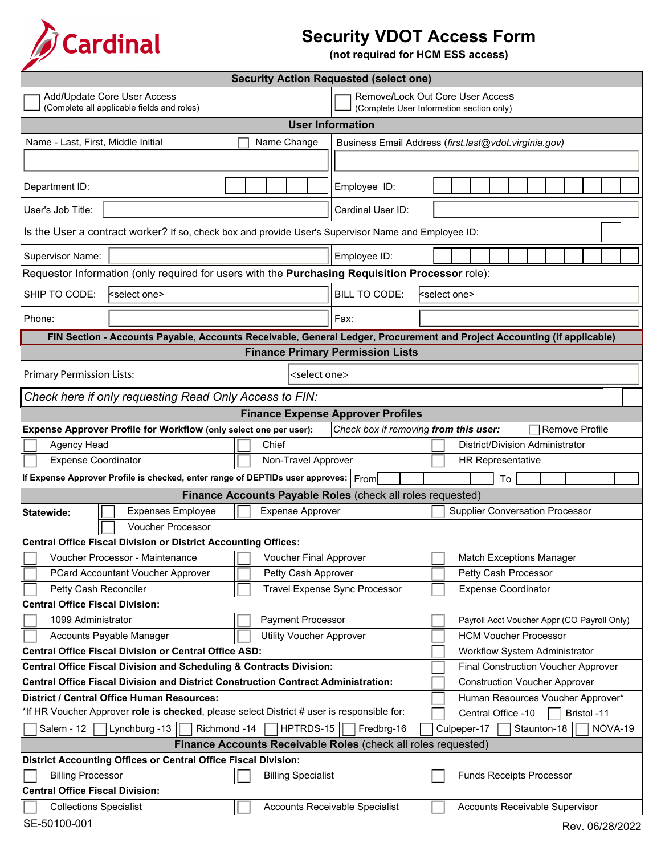

## **Security VDOT Access Form**

**(not required for HCM ESS access)**

| <b>Security Action Requested (select one)</b>                                                                                            |                                                                                                                          |                                                                                                     |                                             |                                                                             |                                 |                            |                                   |             |             |                                        |  |         |  |  |
|------------------------------------------------------------------------------------------------------------------------------------------|--------------------------------------------------------------------------------------------------------------------------|-----------------------------------------------------------------------------------------------------|---------------------------------------------|-----------------------------------------------------------------------------|---------------------------------|----------------------------|-----------------------------------|-------------|-------------|----------------------------------------|--|---------|--|--|
|                                                                                                                                          | Add/Update Core User Access<br>(Complete all applicable fields and roles)                                                | Remove/Lock Out Core User Access<br>(Complete User Information section only)                        |                                             |                                                                             |                                 |                            |                                   |             |             |                                        |  |         |  |  |
|                                                                                                                                          |                                                                                                                          |                                                                                                     |                                             | <b>User Information</b>                                                     |                                 |                            |                                   |             |             |                                        |  |         |  |  |
| Name - Last, First, Middle Initial                                                                                                       |                                                                                                                          | Business Email Address (first.last@vdot.virginia.gov)                                               |                                             |                                                                             |                                 |                            |                                   |             |             |                                        |  |         |  |  |
|                                                                                                                                          |                                                                                                                          |                                                                                                     |                                             |                                                                             |                                 |                            |                                   |             |             |                                        |  |         |  |  |
| Department ID:                                                                                                                           |                                                                                                                          | Employee ID:                                                                                        |                                             |                                                                             |                                 |                            |                                   |             |             |                                        |  |         |  |  |
| User's Job Title:                                                                                                                        |                                                                                                                          | Cardinal User ID:                                                                                   |                                             |                                                                             |                                 |                            |                                   |             |             |                                        |  |         |  |  |
|                                                                                                                                          |                                                                                                                          | Is the User a contract worker? If so, check box and provide User's Supervisor Name and Employee ID: |                                             |                                                                             |                                 |                            |                                   |             |             |                                        |  |         |  |  |
| <b>Supervisor Name:</b>                                                                                                                  |                                                                                                                          | Employee ID:                                                                                        |                                             |                                                                             |                                 |                            |                                   |             |             |                                        |  |         |  |  |
|                                                                                                                                          | Requestor Information (only required for users with the Purchasing Requisition Processor role):                          |                                                                                                     |                                             |                                                                             |                                 |                            |                                   |             |             |                                        |  |         |  |  |
| SHIP TO CODE:                                                                                                                            | <select one<="" td=""><td></td><td></td><td colspan="10"><b>BILL TO CODE:</b><br/><select one=""></select></td></select> |                                                                                                     |                                             | <b>BILL TO CODE:</b><br><select one=""></select>                            |                                 |                            |                                   |             |             |                                        |  |         |  |  |
| Phone:                                                                                                                                   |                                                                                                                          | Fax:                                                                                                |                                             |                                                                             |                                 |                            |                                   |             |             |                                        |  |         |  |  |
|                                                                                                                                          | FIN Section - Accounts Payable, Accounts Receivable, General Ledger, Procurement and Project Accounting (if applicable)  |                                                                                                     |                                             |                                                                             |                                 |                            |                                   |             |             |                                        |  |         |  |  |
| <b>Finance Primary Permission Lists</b>                                                                                                  |                                                                                                                          |                                                                                                     |                                             |                                                                             |                                 |                            |                                   |             |             |                                        |  |         |  |  |
| <b>Primary Permission Lists:</b><br><select one=""></select>                                                                             |                                                                                                                          |                                                                                                     |                                             |                                                                             |                                 |                            |                                   |             |             |                                        |  |         |  |  |
| Check here if only requesting Read Only Access to FIN:                                                                                   |                                                                                                                          |                                                                                                     |                                             |                                                                             |                                 |                            |                                   |             |             |                                        |  |         |  |  |
| <b>Finance Expense Approver Profiles</b>                                                                                                 |                                                                                                                          |                                                                                                     |                                             |                                                                             |                                 |                            |                                   |             |             |                                        |  |         |  |  |
|                                                                                                                                          | Expense Approver Profile for Workflow (only select one per user):                                                        |                                                                                                     |                                             | Check box if removing from this user:                                       |                                 |                            |                                   |             |             | <b>Remove Profile</b>                  |  |         |  |  |
| Chief<br>Agency Head<br>District/Division Administrator                                                                                  |                                                                                                                          |                                                                                                     |                                             |                                                                             |                                 |                            |                                   |             |             |                                        |  |         |  |  |
| <b>Expense Coordinator</b>                                                                                                               |                                                                                                                          | Non-Travel Approver<br><b>HR Representative</b>                                                     |                                             |                                                                             |                                 |                            |                                   |             |             |                                        |  |         |  |  |
|                                                                                                                                          | If Expense Approver Profile is checked, enter range of DEPTIDs user approves: From                                       |                                                                                                     |                                             |                                                                             |                                 | To                         |                                   |             |             |                                        |  |         |  |  |
|                                                                                                                                          |                                                                                                                          |                                                                                                     |                                             | Finance Accounts Payable Roles (check all roles requested)                  |                                 |                            |                                   |             |             |                                        |  |         |  |  |
| Statewide:                                                                                                                               | <b>Expenses Employee</b>                                                                                                 |                                                                                                     | <b>Expense Approver</b>                     |                                                                             |                                 |                            |                                   |             |             | <b>Supplier Conversation Processor</b> |  |         |  |  |
|                                                                                                                                          | Voucher Processor                                                                                                        |                                                                                                     |                                             |                                                                             |                                 |                            |                                   |             |             |                                        |  |         |  |  |
|                                                                                                                                          | <b>Central Office Fiscal Division or District Accounting Offices:</b>                                                    |                                                                                                     |                                             |                                                                             |                                 |                            |                                   |             |             |                                        |  |         |  |  |
|                                                                                                                                          | Voucher Processor - Maintenance                                                                                          | Voucher Final Approver                                                                              |                                             |                                                                             | <b>Match Exceptions Manager</b> |                            |                                   |             |             |                                        |  |         |  |  |
|                                                                                                                                          | PCard Accountant Voucher Approver                                                                                        |                                                                                                     | Petty Cash Approver                         |                                                                             |                                 | Petty Cash Processor       |                                   |             |             |                                        |  |         |  |  |
| Petty Cash Reconciler                                                                                                                    |                                                                                                                          |                                                                                                     |                                             | Travel Expense Sync Processor                                               |                                 | <b>Expense Coordinator</b> |                                   |             |             |                                        |  |         |  |  |
| <b>Central Office Fiscal Division:</b>                                                                                                   |                                                                                                                          |                                                                                                     |                                             |                                                                             |                                 |                            |                                   |             |             |                                        |  |         |  |  |
| 1099 Administrator                                                                                                                       |                                                                                                                          | <b>Payment Processor</b>                                                                            | Payroll Acct Voucher Appr (CO Payroll Only) |                                                                             |                                 |                            |                                   |             |             |                                        |  |         |  |  |
|                                                                                                                                          | Accounts Payable Manager                                                                                                 | <b>Utility Voucher Approver</b><br><b>HCM Voucher Processor</b>                                     |                                             |                                                                             |                                 |                            |                                   |             |             |                                        |  |         |  |  |
| <b>Central Office Fiscal Division or Central Office ASD:</b>                                                                             |                                                                                                                          |                                                                                                     |                                             |                                                                             |                                 |                            | Workflow System Administrator     |             |             |                                        |  |         |  |  |
|                                                                                                                                          | Central Office Fiscal Division and Scheduling & Contracts Division:                                                      |                                                                                                     |                                             |                                                                             |                                 |                            |                                   |             |             | Final Construction Voucher Approver    |  |         |  |  |
|                                                                                                                                          | <b>Central Office Fiscal Division and District Construction Contract Administration:</b>                                 |                                                                                                     |                                             |                                                                             |                                 |                            |                                   |             |             | <b>Construction Voucher Approver</b>   |  |         |  |  |
| District / Central Office Human Resources:<br>*If HR Voucher Approver role is checked, please select District # user is responsible for: |                                                                                                                          |                                                                                                     |                                             |                                                                             |                                 |                            | Human Resources Voucher Approver* |             |             |                                        |  |         |  |  |
|                                                                                                                                          |                                                                                                                          |                                                                                                     |                                             | Central Office -10                                                          |                                 |                            |                                   | Bristol -11 |             |                                        |  |         |  |  |
| Salem - $12$                                                                                                                             | Lynchburg -13<br>Richmond -14                                                                                            |                                                                                                     | HPTRDS-15                                   | Fredbrg-16<br>Finance Accounts Receivable Roles (check all roles requested) |                                 | Culpeper-17                |                                   |             | Staunton-18 |                                        |  | NOVA-19 |  |  |
|                                                                                                                                          | <b>District Accounting Offices or Central Office Fiscal Division:</b>                                                    |                                                                                                     |                                             |                                                                             |                                 |                            |                                   |             |             |                                        |  |         |  |  |
| <b>Billing Processor</b>                                                                                                                 |                                                                                                                          |                                                                                                     | <b>Billing Specialist</b>                   |                                                                             |                                 |                            | <b>Funds Receipts Processor</b>   |             |             |                                        |  |         |  |  |
| <b>Central Office Fiscal Division:</b>                                                                                                   |                                                                                                                          |                                                                                                     |                                             |                                                                             |                                 |                            |                                   |             |             |                                        |  |         |  |  |
| <b>Collections Specialist</b>                                                                                                            |                                                                                                                          |                                                                                                     |                                             | Accounts Receivable Specialist                                              |                                 |                            |                                   |             |             | Accounts Receivable Supervisor         |  |         |  |  |
|                                                                                                                                          |                                                                                                                          |                                                                                                     |                                             |                                                                             |                                 |                            |                                   |             |             |                                        |  |         |  |  |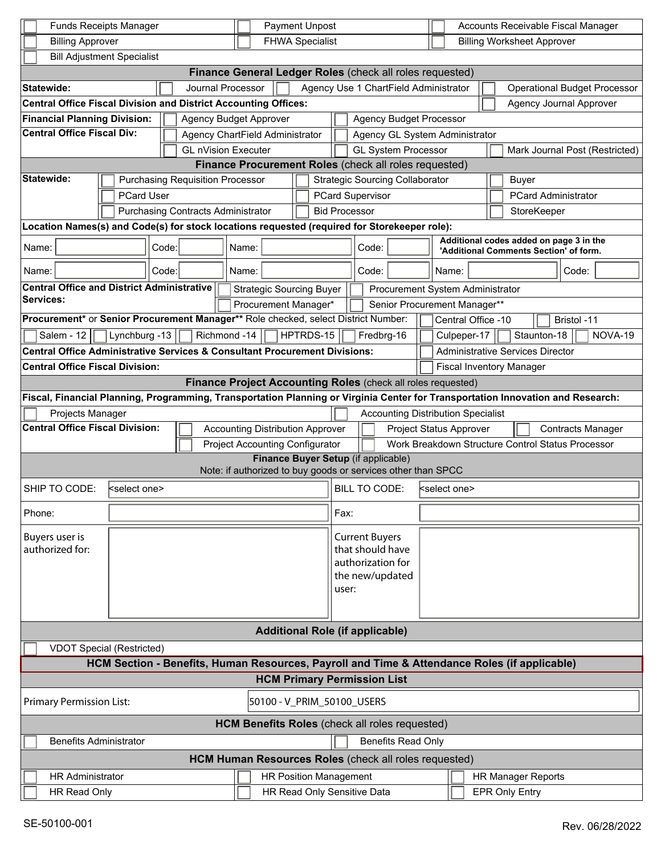| Payment Unpost<br><b>Funds Receipts Manager</b>                                                                                                                                                             |                                                          |       |                                                       |                                        |                                                       |  |                                                                                                 |                                                                                    |                       |                                       | Accounts Receivable Fiscal Manager |                                |                                                                                   |                        |                                     |  |  |  |
|-------------------------------------------------------------------------------------------------------------------------------------------------------------------------------------------------------------|----------------------------------------------------------|-------|-------------------------------------------------------|----------------------------------------|-------------------------------------------------------|--|-------------------------------------------------------------------------------------------------|------------------------------------------------------------------------------------|-----------------------|---------------------------------------|------------------------------------|--------------------------------|-----------------------------------------------------------------------------------|------------------------|-------------------------------------|--|--|--|
| <b>FHWA Specialist</b><br><b>Billing Approver</b>                                                                                                                                                           |                                                          |       |                                                       |                                        |                                                       |  |                                                                                                 |                                                                                    |                       | <b>Billing Worksheet Approver</b>     |                                    |                                |                                                                                   |                        |                                     |  |  |  |
| <b>Bill Adjustment Specialist</b>                                                                                                                                                                           |                                                          |       |                                                       |                                        |                                                       |  |                                                                                                 |                                                                                    |                       |                                       |                                    |                                |                                                                                   |                        |                                     |  |  |  |
| Finance General Ledger Roles (check all roles requested)                                                                                                                                                    |                                                          |       |                                                       |                                        |                                                       |  |                                                                                                 |                                                                                    |                       |                                       |                                    |                                |                                                                                   |                        |                                     |  |  |  |
| <b>Statewide:</b>                                                                                                                                                                                           |                                                          |       | Journal Processor                                     |                                        |                                                       |  |                                                                                                 |                                                                                    |                       | Agency Use 1 ChartField Administrator |                                    |                                |                                                                                   |                        | <b>Operational Budget Processor</b> |  |  |  |
| <b>Central Office Fiscal Division and District Accounting Offices:</b>                                                                                                                                      |                                                          |       |                                                       |                                        |                                                       |  |                                                                                                 |                                                                                    |                       |                                       |                                    |                                | <b>Agency Journal Approver</b>                                                    |                        |                                     |  |  |  |
| <b>Financial Planning Division:</b><br><b>Agency Budget Approver</b>                                                                                                                                        |                                                          |       |                                                       |                                        |                                                       |  | <b>Agency Budget Processor</b>                                                                  |                                                                                    |                       |                                       |                                    |                                |                                                                                   |                        |                                     |  |  |  |
| <b>Central Office Fiscal Div:</b>                                                                                                                                                                           |                                                          |       | Agency ChartField Administrator                       |                                        |                                                       |  |                                                                                                 |                                                                                    |                       |                                       |                                    | Agency GL System Administrator |                                                                                   |                        |                                     |  |  |  |
|                                                                                                                                                                                                             |                                                          |       | <b>GL nVision Executer</b>                            |                                        |                                                       |  |                                                                                                 | <b>GL System Processor</b><br>Mark Journal Post (Restricted)                       |                       |                                       |                                    |                                |                                                                                   |                        |                                     |  |  |  |
|                                                                                                                                                                                                             |                                                          |       |                                                       |                                        | Finance Procurement Roles (check all roles requested) |  |                                                                                                 |                                                                                    |                       |                                       |                                    |                                |                                                                                   |                        |                                     |  |  |  |
| <b>Statewide:</b><br><b>Purchasing Requisition Processor</b>                                                                                                                                                |                                                          |       |                                                       | <b>Strategic Sourcing Collaborator</b> |                                                       |  |                                                                                                 |                                                                                    |                       |                                       |                                    |                                | <b>Buyer</b>                                                                      |                        |                                     |  |  |  |
| <b>PCard User</b>                                                                                                                                                                                           |                                                          |       |                                                       | <b>PCard Supervisor</b>                |                                                       |  |                                                                                                 |                                                                                    |                       |                                       |                                    |                                | <b>PCard Administrator</b>                                                        |                        |                                     |  |  |  |
|                                                                                                                                                                                                             |                                                          |       | <b>Purchasing Contracts Administrator</b>             |                                        |                                                       |  | <b>Bid Processor</b>                                                                            |                                                                                    |                       |                                       |                                    |                                |                                                                                   |                        | StoreKeeper                         |  |  |  |
| Location Names(s) and Code(s) for stock locations requested (required for Storekeeper role):                                                                                                                |                                                          |       |                                                       |                                        |                                                       |  |                                                                                                 |                                                                                    |                       |                                       |                                    |                                |                                                                                   |                        |                                     |  |  |  |
| Name:<br>Code:                                                                                                                                                                                              |                                                          |       |                                                       | Name:                                  |                                                       |  |                                                                                                 | Code:                                                                              |                       |                                       |                                    |                                | Additional codes added on page 3 in the<br>'Additional Comments Section' of form. |                        |                                     |  |  |  |
| Name:                                                                                                                                                                                                       |                                                          | Code: |                                                       | Name:                                  |                                                       |  |                                                                                                 | Code:                                                                              |                       |                                       |                                    | Name:<br>Code:                 |                                                                                   |                        |                                     |  |  |  |
| <b>Central Office and District Administrative</b><br><b>Services:</b>                                                                                                                                       |                                                          |       |                                                       |                                        | <b>Strategic Sourcing Buyer</b>                       |  |                                                                                                 | Procurement System Administrator                                                   |                       |                                       |                                    |                                |                                                                                   |                        |                                     |  |  |  |
|                                                                                                                                                                                                             |                                                          |       |                                                       |                                        | Procurement Manager*                                  |  |                                                                                                 | Senior Procurement Manager**                                                       |                       |                                       |                                    |                                |                                                                                   |                        |                                     |  |  |  |
|                                                                                                                                                                                                             |                                                          |       |                                                       |                                        |                                                       |  |                                                                                                 | Procurement* or Senior Procurement Manager** Role checked, select District Number: |                       |                                       |                                    |                                | Central Office -10<br>Bristol -11                                                 |                        |                                     |  |  |  |
|                                                                                                                                                                                                             | Lynchburg -13<br>Richmond -14<br>HPTRDS-15<br>Salem - 12 |       |                                                       |                                        |                                                       |  |                                                                                                 | Fredbrg-16<br>Culpeper-17                                                          |                       |                                       |                                    |                                |                                                                                   | Staunton-18<br>NOVA-19 |                                     |  |  |  |
| <b>Central Office Administrative Services &amp; Consultant Procurement Divisions:</b>                                                                                                                       |                                                          |       |                                                       |                                        |                                                       |  |                                                                                                 |                                                                                    |                       |                                       |                                    |                                | <b>Administrative Services Director</b>                                           |                        |                                     |  |  |  |
| <b>Central Office Fiscal Division:</b>                                                                                                                                                                      |                                                          |       |                                                       |                                        |                                                       |  | <b>Fiscal Inventory Manager</b><br>Finance Project Accounting Roles (check all roles requested) |                                                                                    |                       |                                       |                                    |                                |                                                                                   |                        |                                     |  |  |  |
|                                                                                                                                                                                                             |                                                          |       |                                                       |                                        |                                                       |  |                                                                                                 |                                                                                    |                       |                                       |                                    |                                |                                                                                   |                        |                                     |  |  |  |
| Fiscal, Financial Planning, Programming, Transportation Planning or Virginia Center for Transportation Innovation and Research:                                                                             |                                                          |       |                                                       |                                        |                                                       |  |                                                                                                 |                                                                                    |                       |                                       |                                    |                                |                                                                                   |                        |                                     |  |  |  |
| Projects Manager<br><b>Accounting Distribution Specialist</b>                                                                                                                                               |                                                          |       |                                                       |                                        |                                                       |  |                                                                                                 |                                                                                    |                       |                                       |                                    |                                |                                                                                   |                        |                                     |  |  |  |
| <b>Central Office Fiscal Division:</b><br><b>Accounting Distribution Approver</b><br>Project Status Approver<br><b>Project Accounting Configurator</b><br>Work Breakdown Structure Control Status Processor |                                                          |       |                                                       |                                        |                                                       |  | <b>Contracts Manager</b>                                                                        |                                                                                    |                       |                                       |                                    |                                |                                                                                   |                        |                                     |  |  |  |
|                                                                                                                                                                                                             |                                                          |       |                                                       |                                        |                                                       |  |                                                                                                 |                                                                                    |                       |                                       |                                    |                                |                                                                                   |                        |                                     |  |  |  |
| Finance Buyer Setup (if applicable)<br>Note: if authorized to buy goods or services other than SPCC                                                                                                         |                                                          |       |                                                       |                                        |                                                       |  |                                                                                                 |                                                                                    |                       |                                       |                                    |                                |                                                                                   |                        |                                     |  |  |  |
| SHIP TO CODE:                                                                                                                                                                                               | kselect one>                                             |       |                                                       |                                        |                                                       |  |                                                                                                 | BILL TO CODE:<br>kselect one>                                                      |                       |                                       |                                    |                                |                                                                                   |                        |                                     |  |  |  |
| Phone:                                                                                                                                                                                                      |                                                          |       |                                                       |                                        |                                                       |  |                                                                                                 | Fax:                                                                               |                       |                                       |                                    |                                |                                                                                   |                        |                                     |  |  |  |
| Buyers user is                                                                                                                                                                                              |                                                          |       |                                                       |                                        |                                                       |  |                                                                                                 |                                                                                    | <b>Current Buyers</b> |                                       |                                    |                                |                                                                                   |                        |                                     |  |  |  |
| authorized for:                                                                                                                                                                                             |                                                          |       |                                                       |                                        |                                                       |  | that should have                                                                                |                                                                                    |                       |                                       |                                    |                                |                                                                                   |                        |                                     |  |  |  |
|                                                                                                                                                                                                             |                                                          |       |                                                       |                                        | authorization for                                     |  |                                                                                                 |                                                                                    |                       |                                       |                                    |                                |                                                                                   |                        |                                     |  |  |  |
|                                                                                                                                                                                                             |                                                          |       |                                                       |                                        |                                                       |  |                                                                                                 | the new/updated<br>user:                                                           |                       |                                       |                                    |                                |                                                                                   |                        |                                     |  |  |  |
|                                                                                                                                                                                                             |                                                          |       |                                                       |                                        |                                                       |  |                                                                                                 |                                                                                    |                       |                                       |                                    |                                |                                                                                   |                        |                                     |  |  |  |
|                                                                                                                                                                                                             |                                                          |       |                                                       |                                        |                                                       |  |                                                                                                 |                                                                                    |                       |                                       |                                    |                                |                                                                                   |                        |                                     |  |  |  |
| <b>Additional Role (if applicable)</b>                                                                                                                                                                      |                                                          |       |                                                       |                                        |                                                       |  |                                                                                                 |                                                                                    |                       |                                       |                                    |                                |                                                                                   |                        |                                     |  |  |  |
| <b>VDOT Special (Restricted)</b>                                                                                                                                                                            |                                                          |       |                                                       |                                        |                                                       |  |                                                                                                 |                                                                                    |                       |                                       |                                    |                                |                                                                                   |                        |                                     |  |  |  |
| HCM Section - Benefits, Human Resources, Payroll and Time & Attendance Roles (if applicable)                                                                                                                |                                                          |       |                                                       |                                        |                                                       |  |                                                                                                 |                                                                                    |                       |                                       |                                    |                                |                                                                                   |                        |                                     |  |  |  |
| <b>HCM Primary Permission List</b>                                                                                                                                                                          |                                                          |       |                                                       |                                        |                                                       |  |                                                                                                 |                                                                                    |                       |                                       |                                    |                                |                                                                                   |                        |                                     |  |  |  |
| <b>Primary Permission List:</b><br>50100 - V_PRIM_50100_USERS                                                                                                                                               |                                                          |       |                                                       |                                        |                                                       |  |                                                                                                 |                                                                                    |                       |                                       |                                    |                                |                                                                                   |                        |                                     |  |  |  |
| <b>HCM Benefits Roles</b> (check all roles requested)                                                                                                                                                       |                                                          |       |                                                       |                                        |                                                       |  |                                                                                                 |                                                                                    |                       |                                       |                                    |                                |                                                                                   |                        |                                     |  |  |  |
| <b>Benefits Administrator</b>                                                                                                                                                                               |                                                          |       |                                                       |                                        |                                                       |  |                                                                                                 |                                                                                    |                       | <b>Benefits Read Only</b>             |                                    |                                |                                                                                   |                        |                                     |  |  |  |
|                                                                                                                                                                                                             |                                                          |       | HCM Human Resources Roles (check all roles requested) |                                        |                                                       |  |                                                                                                 |                                                                                    |                       |                                       |                                    |                                |                                                                                   |                        |                                     |  |  |  |
| <b>HR Administrator</b>                                                                                                                                                                                     |                                                          |       |                                                       |                                        | <b>HR Position Management</b>                         |  |                                                                                                 |                                                                                    |                       |                                       |                                    |                                |                                                                                   |                        | HR Manager Reports                  |  |  |  |
| HR Read Only Sensitive Data<br>HR Read Only                                                                                                                                                                 |                                                          |       |                                                       |                                        |                                                       |  | <b>EPR Only Entry</b>                                                                           |                                                                                    |                       |                                       |                                    |                                |                                                                                   |                        |                                     |  |  |  |